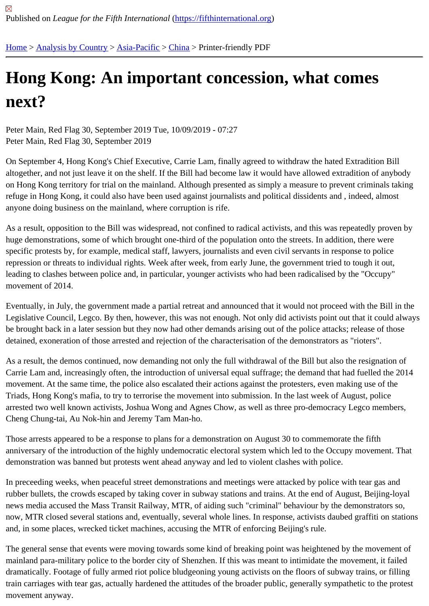## [Ho](https://fifthinternational.org/)[ng Kong: A](https://fifthinternational.org/category/1)[n impo](https://fifthinternational.org/category/1/91)[rtan](https://fifthinternational.org/category/1/91/96)t concession, what comes next?

Peter Main, Red Flag 30, September 2019 Tue, 10/09/2019 - 07:27 Peter Main, Red Flag 30, September 2019

On September 4, Hong Kong's Chief Executive, Carrie Lam, finally agreed to withdraw the hated Extradition Bill altogether, and not just leave it on the shelf. If the Bill had become law it would have allowed extradition of anybod on Hong Kong territory for trial on the mainland. Although presented as simply a measure to prevent criminals taki refuge in Hong Kong, it could also have been used against journalists and political dissidents and , indeed, almost anyone doing business on the mainland, where corruption is rife.

As a result, opposition to the Bill was widespread, not confined to radical activists, and this was repeatedly proven huge demonstrations, some of which brought one-third of the population onto the streets. In addition, there were specific protests by, for example, medical staff, lawyers, journalists and even civil servants in response to police repression or threats to individual rights. Week after week, from early June, the government tried to tough it out, leading to clashes between police and, in particular, younger activists who had been radicalised by the "Occupy" movement of 2014.

Eventually, in July, the government made a partial retreat and announced that it would not proceed with the Bill in the Legislative Council, Legco. By then, however, this was not enough. Not only did activists point out that it could alw be brought back in a later session but they now had other demands arising out of the police attacks; release of tho detained, exoneration of those arrested and rejection of the characterisation of the demonstrators as "rioters".

As a result, the demos continued, now demanding not only the full withdrawal of the Bill but also the resignation of Carrie Lam and, increasingly often, the introduction of universal equal suffrage; the demand that had fuelled the 20 movement. At the same time, the police also escalated their actions against the protesters, even making use of the Triads, Hong Kong's mafia, to try to terrorise the movement into submission. In the last week of August, police arrested two well known activists, Joshua Wong and Agnes Chow, as well as three pro-democracy Legco membei Cheng Chung-tai, Au Nok-hin and Jeremy Tam Man-ho.

Those arrests appeared to be a response to plans for a demonstration on August 30 to commemorate the fifth anniversary of the introduction of the highly undemocratic electoral system which led to the Occupy movement. Th demonstration was banned but protests went ahead anyway and led to violent clashes with police.

In preceeding weeks, when peaceful street demonstrations and meetings were attacked by police with tear gas an rubber bullets, the crowds escaped by taking cover in subway stations and trains. At the end of August, Beijing-loy news media accused the Mass Transit Railway, MTR, of aiding such "criminal" behaviour by the demonstrators so, now, MTR closed several stations and, eventually, several whole lines. In response, activists daubed graffiti on sta and, in some places, wrecked ticket machines, accusing the MTR of enforcing Beijing's rule.

The general sense that events were moving towards some kind of breaking point was heightened by the movemer mainland para-military police to the border city of Shenzhen. If this was meant to intimidate the movement, it failed dramatically. Footage of fully armed riot police bludgeoning young activists on the floors of subway trains, or filling train carriages with tear gas, actually hardened the attitudes of the broader public, generally sympathetic to the pro movement anyway.